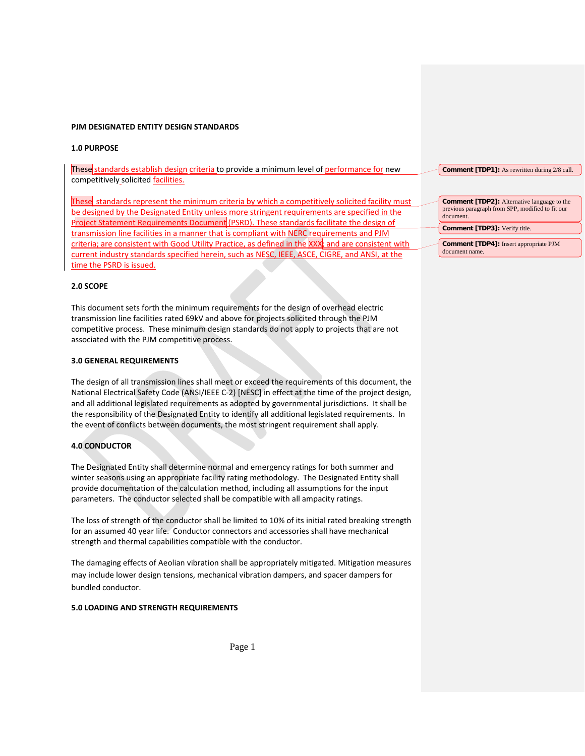## **PJM DESIGNATED ENTITY DESIGN STANDARDS**

## **1.0 PURPOSE**

These standards establish design criteria to provide a minimum level of performance for new competitively solicited facilities.

These standards represent the minimum criteria by which a competitively solicited facility must be designed by the Designated Entity unless more stringent requirements are specified in the Project Statement Requirements Document (PSRD). These standards facilitate the design of transmission line facilities in a manner that is compliant with NERC requirements and PJM criteria; are consistent with Good Utility Practice, as defined in the XXX; and are consistent with current industry standards specified herein, such as NESC, IEEE, ASCE, CIGRE, and ANSI, at the time the PSRD is issued.

#### **2.0 SCOPE**

This document sets forth the minimum requirements for the design of overhead electric transmission line facilities rated 69kV and above for projects solicited through the PJM competitive process. These minimum design standards do not apply to projects that are not associated with the PJM competitive process.

## **3.0 GENERAL REQUIREMENTS**

The design of all transmission lines shall meet or exceed the requirements of this document, the National Electrical Safety Code (ANSI/IEEE C-2) [NESC] in effect at the time of the project design, and all additional legislated requirements as adopted by governmental jurisdictions. It shall be the responsibility of the Designated Entity to identify all additional legislated requirements. In the event of conflicts between documents, the most stringent requirement shall apply.

## **4.0 CONDUCTOR**

The Designated Entity shall determine normal and emergency ratings for both summer and winter seasons using an appropriate facility rating methodology. The Designated Entity shall provide documentation of the calculation method, including all assumptions for the input parameters. The conductor selected shall be compatible with all ampacity ratings.

The loss of strength of the conductor shall be limited to 10% of its initial rated breaking strength for an assumed 40 year life. Conductor connectors and accessories shall have mechanical strength and thermal capabilities compatible with the conductor.

The damaging effects of Aeolian vibration shall be appropriately mitigated. Mitigation measures may include lower design tensions, mechanical vibration dampers, and spacer dampers for bundled conductor.

## **5.0 LOADING AND STRENGTH REQUIREMENTS**

**Comment [TDP1]:** As rewritten during 2/8 call.

**Comment [TDP2]:** Alternative language to the previous paragraph from SPP, modified to fit our document. **Comment [TDP3]:** Verify title.

**Comment [TDP4]:** Insert appropriate PJM document name

Page 1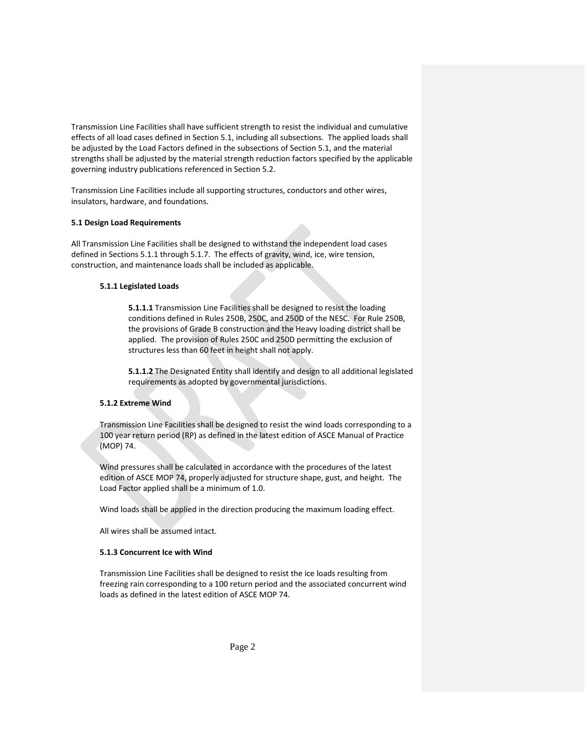Transmission Line Facilities shall have sufficient strength to resist the individual and cumulative effects of all load cases defined in Section 5.1, including all subsections. The applied loads shall be adjusted by the Load Factors defined in the subsections of Section 5.1, and the material strengths shall be adjusted by the material strength reduction factors specified by the applicable governing industry publications referenced in Section 5.2.

Transmission Line Facilities include all supporting structures, conductors and other wires, insulators, hardware, and foundations.

# **5.1 Design Load Requirements**

All Transmission Line Facilities shall be designed to withstand the independent load cases defined in Sections 5.1.1 through 5.1.7. The effects of gravity, wind, ice, wire tension, construction, and maintenance loads shall be included as applicable.

# **5.1.1 Legislated Loads**

**5.1.1.1** Transmission Line Facilities shall be designed to resist the loading conditions defined in Rules 250B, 250C, and 250D of the NESC. For Rule 250B, the provisions of Grade B construction and the Heavy loading district shall be applied. The provision of Rules 250C and 250D permitting the exclusion of structures less than 60 feet in height shall not apply.

**5.1.1.2** The Designated Entity shall identify and design to all additional legislated requirements as adopted by governmental jurisdictions.

# **5.1.2 Extreme Wind**

Transmission Line Facilities shall be designed to resist the wind loads corresponding to a 100 year return period (RP) as defined in the latest edition of ASCE Manual of Practice (MOP) 74.

Wind pressures shall be calculated in accordance with the procedures of the latest edition of ASCE MOP 74, properly adjusted for structure shape, gust, and height. The Load Factor applied shall be a minimum of 1.0.

Wind loads shall be applied in the direction producing the maximum loading effect.

All wires shall be assumed intact.

## **5.1.3 Concurrent Ice with Wind**

Transmission Line Facilities shall be designed to resist the ice loads resulting from freezing rain corresponding to a 100 return period and the associated concurrent wind loads as defined in the latest edition of ASCE MOP 74.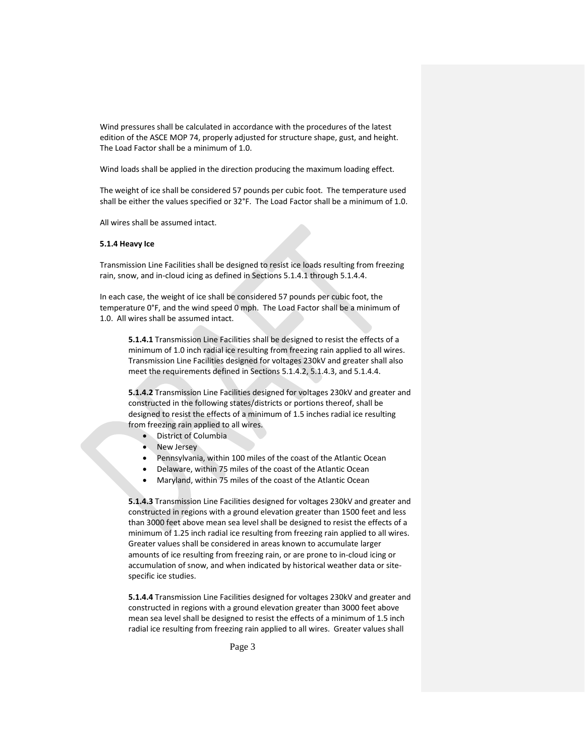Wind pressures shall be calculated in accordance with the procedures of the latest edition of the ASCE MOP 74, properly adjusted for structure shape, gust, and height. The Load Factor shall be a minimum of 1.0.

Wind loads shall be applied in the direction producing the maximum loading effect.

The weight of ice shall be considered 57 pounds per cubic foot. The temperature used shall be either the values specified or 32°F. The Load Factor shall be a minimum of 1.0.

All wires shall be assumed intact.

#### **5.1.4 Heavy Ice**

Transmission Line Facilities shall be designed to resist ice loads resulting from freezing rain, snow, and in-cloud icing as defined in Sections 5.1.4.1 through 5.1.4.4.

In each case, the weight of ice shall be considered 57 pounds per cubic foot, the temperature 0°F, and the wind speed 0 mph. The Load Factor shall be a minimum of 1.0. All wires shall be assumed intact.

**5.1.4.1** Transmission Line Facilities shall be designed to resist the effects of a minimum of 1.0 inch radial ice resulting from freezing rain applied to all wires. Transmission Line Facilities designed for voltages 230kV and greater shall also meet the requirements defined in Sections 5.1.4.2, 5.1.4.3, and 5.1.4.4.

**5.1.4.2** Transmission Line Facilities designed for voltages 230kV and greater and constructed in the following states/districts or portions thereof, shall be designed to resist the effects of a minimum of 1.5 inches radial ice resulting from freezing rain applied to all wires.

- District of Columbia
	- **New Jersey**
	- Pennsylvania, within 100 miles of the coast of the Atlantic Ocean
- Delaware, within 75 miles of the coast of the Atlantic Ocean
- Maryland, within 75 miles of the coast of the Atlantic Ocean

**5.1.4.3** Transmission Line Facilities designed for voltages 230kV and greater and constructed in regions with a ground elevation greater than 1500 feet and less than 3000 feet above mean sea level shall be designed to resist the effects of a minimum of 1.25 inch radial ice resulting from freezing rain applied to all wires. Greater values shall be considered in areas known to accumulate larger amounts of ice resulting from freezing rain, or are prone to in-cloud icing or accumulation of snow, and when indicated by historical weather data or sitespecific ice studies.

**5.1.4.4** Transmission Line Facilities designed for voltages 230kV and greater and constructed in regions with a ground elevation greater than 3000 feet above mean sea level shall be designed to resist the effects of a minimum of 1.5 inch radial ice resulting from freezing rain applied to all wires. Greater values shall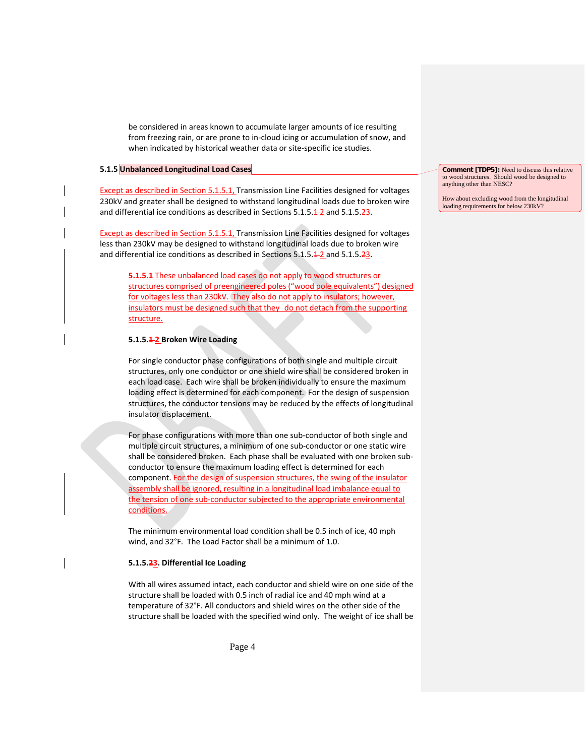be considered in areas known to accumulate larger amounts of ice resulting from freezing rain, or are prone to in-cloud icing or accumulation of snow, and when indicated by historical weather data or site-specific ice studies.

## **5.1.5 Unbalanced Longitudinal Load Cases**

Except as described in Section 5.1.5.1, Transmission Line Facilities designed for voltages 230kV and greater shall be designed to withstand longitudinal loads due to broken wire and differential ice conditions as described in Sections 5.1.5.<sup>1</sup> 2 and 5.1.5.<sup>23</sup>.

Except as described in Section 5.1.5.1, Transmission Line Facilities designed for voltages less than 230kV may be designed to withstand longitudinal loads due to broken wire and differential ice conditions as described in Sections  $5.1.5.\overline{4-2}$  and  $5.1.5.\overline{23}$ .

**5.1.5.1** These unbalanced load cases do not apply to wood structures or structures comprised of preengineered poles ("wood pole equivalents") designed for voltages less than 230kV. They also do not apply to insulators; however, insulators must be designed such that they do not detach from the supporting structure.

#### **5.1.5.1 2 Broken Wire Loading**

For single conductor phase configurations of both single and multiple circuit structures, only one conductor or one shield wire shall be considered broken in each load case. Each wire shall be broken individually to ensure the maximum loading effect is determined for each component. For the design of suspension structures, the conductor tensions may be reduced by the effects of longitudinal insulator displacement.

For phase configurations with more than one sub-conductor of both single and multiple circuit structures, a minimum of one sub-conductor or one static wire shall be considered broken. Each phase shall be evaluated with one broken subconductor to ensure the maximum loading effect is determined for each component. For the design of suspension structures, the swing of the insulator assembly shall be ignored, resulting in a longitudinal load imbalance equal to the tension of one sub-conductor subjected to the appropriate environmental conditions.

The minimum environmental load condition shall be 0.5 inch of ice, 40 mph wind, and 32°F. The Load Factor shall be a minimum of 1.0.

#### **5.1.5.23. Differential Ice Loading**

With all wires assumed intact, each conductor and shield wire on one side of the structure shall be loaded with 0.5 inch of radial ice and 40 mph wind at a temperature of 32°F. All conductors and shield wires on the other side of the structure shall be loaded with the specified wind only. The weight of ice shall be **Comment [TDP5]:** Need to discuss this relative to wood structures. Should wood be designed to anything other than NESC?

How about excluding wood from the longitudinal loading requirements for below 230kV?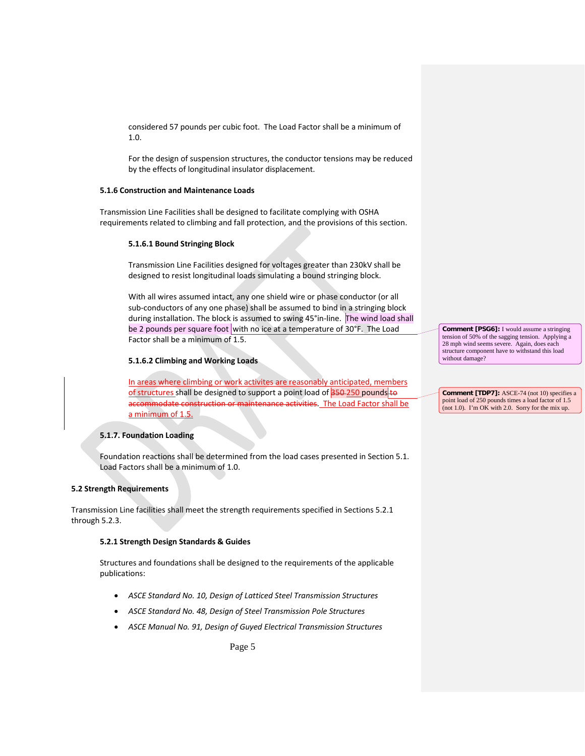considered 57 pounds per cubic foot. The Load Factor shall be a minimum of 1.0.

For the design of suspension structures, the conductor tensions may be reduced by the effects of longitudinal insulator displacement.

# **5.1.6 Construction and Maintenance Loads**

Transmission Line Facilities shall be designed to facilitate complying with OSHA requirements related to climbing and fall protection, and the provisions of this section.

#### **5.1.6.1 Bound Stringing Block**

Transmission Line Facilities designed for voltages greater than 230kV shall be designed to resist longitudinal loads simulating a bound stringing block.

With all wires assumed intact, any one shield wire or phase conductor (or all sub-conductors of any one phase) shall be assumed to bind in a stringing block during installation. The block is assumed to swing 45°in-line. The wind load shall be 2 pounds per square foot with no ice at a temperature of 30°F. The Load Factor shall be a minimum of 1.5.

# **5.1.6.2 Climbing and Working Loads**

In areas where climbing or work activites are reasonably anticipated, members of structures shall be designed to support a point load of 350-250 pounds to accommodate construction or maintenance activities. The Load Factor shall be a minimum of 1.5.

## **5.1.7. Foundation Loading**

Foundation reactions shall be determined from the load cases presented in Section 5.1. Load Factors shall be a minimum of 1.0.

# **5.2 Strength Requirements**

Transmission Line facilities shall meet the strength requirements specified in Sections 5.2.1 through 5.2.3.

## **5.2.1 Strength Design Standards & Guides**

Structures and foundations shall be designed to the requirements of the applicable publications:

- *ASCE Standard No. 10, Design of Latticed Steel Transmission Structures*
- *ASCE Standard No. 48, Design of Steel Transmission Pole Structures*
- *ASCE Manual No. 91, Design of Guyed Electrical Transmission Structures*

Page 5

**Comment [PSG6]:** I would assume a stringing tension of 50% of the sagging tension. Applying a 28 mph wind seems severe. Again, does each structure component have to withstand this load without damage?

**Comment [TDP7]:** ASCE-74 (not 10) specifies a point load of 250 pounds times a load factor of 1.5 (not 1.0). I'm OK with 2.0. Sorry for the mix up.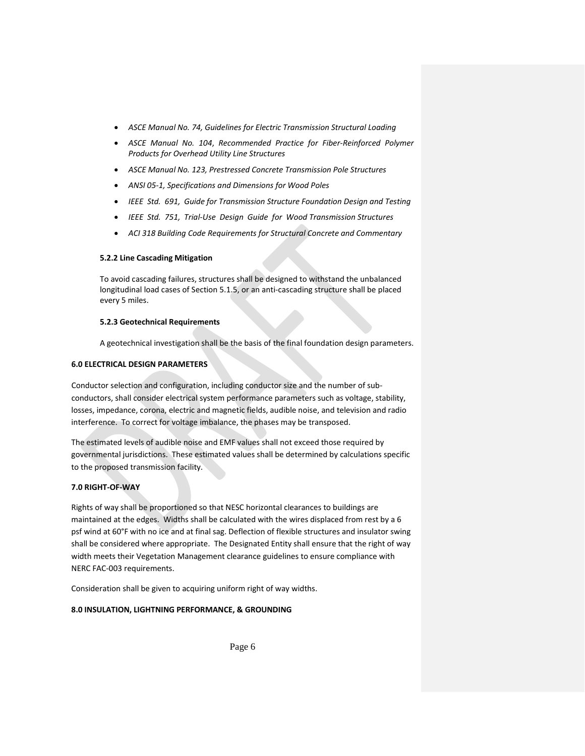- *ASCE Manual No. 74, Guidelines for Electric Transmission Structural Loading*
- *ASCE Manual No. 104*, *Recommended Practice for Fiber-Reinforced Polymer Products for Overhead Utility Line Structures*
- *ASCE Manual No. 123, Prestressed Concrete Transmission Pole Structures*
- *ANSI 05-1, Specifications and Dimensions for Wood Poles*
- *IEEE Std. 691, Guide for Transmission Structure Foundation Design and Testing*
- *IEEE Std. 751, Trial-Use Design Guide for Wood Transmission Structures*
- *ACI 318 Building Code Requirements for Structural Concrete and Commentary*

# **5.2.2 Line Cascading Mitigation**

To avoid cascading failures, structures shall be designed to withstand the unbalanced longitudinal load cases of Section 5.1.5, or an anti-cascading structure shall be placed every 5 miles.

# **5.2.3 Geotechnical Requirements**

A geotechnical investigation shall be the basis of the final foundation design parameters.

# **6.0 ELECTRICAL DESIGN PARAMETERS**

Conductor selection and configuration, including conductor size and the number of subconductors, shall consider electrical system performance parameters such as voltage, stability, losses, impedance, corona, electric and magnetic fields, audible noise, and television and radio interference. To correct for voltage imbalance, the phases may be transposed.

The estimated levels of audible noise and EMF values shall not exceed those required by governmental jurisdictions. These estimated values shall be determined by calculations specific to the proposed transmission facility.

# **7.0 RIGHT-OF-WAY**

Rights of way shall be proportioned so that NESC horizontal clearances to buildings are maintained at the edges. Widths shall be calculated with the wires displaced from rest by a 6 psf wind at 60°F with no ice and at final sag. Deflection of flexible structures and insulator swing shall be considered where appropriate. The Designated Entity shall ensure that the right of way width meets their Vegetation Management clearance guidelines to ensure compliance with NERC FAC-003 requirements.

Consideration shall be given to acquiring uniform right of way widths.

# **8.0 INSULATION, LIGHTNING PERFORMANCE, & GROUNDING**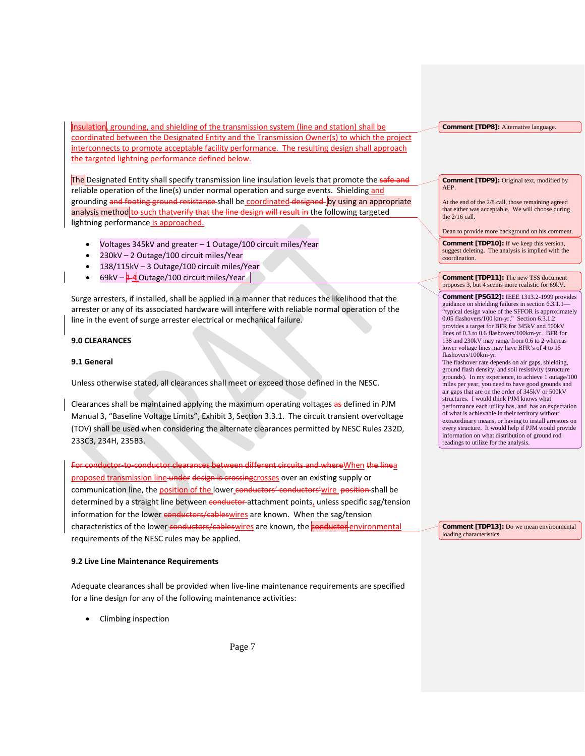Insulation, grounding, and shielding of the transmission system (line and station) shall be coordinated between the Designated Entity and the Transmission Owner(s) to which the project interconnects to promote acceptable facility performance. The resulting design shall approach the targeted lightning performance defined below.

The Designated Entity shall specify transmission line insulation levels that promote the safe and reliable operation of the line(s) under normal operation and surge events. Shielding and grounding and footing ground resistance shall be coordinated designed by using an appropriate analysis method to such thatverify that the line design will result in the following targeted lightning performance is approached.

- Voltages 345kV and greater 1 Outage/100 circuit miles/Year
- 230kV 2 Outage/100 circuit miles/Year
- 138/115kV 3 Outage/100 circuit miles/Year
- $69kV 4$  Outage/100 circuit miles/Year

Surge arresters, if installed, shall be applied in a manner that reduces the likelihood that the arrester or any of its associated hardware will interfere with reliable normal operation of the line in the event of surge arrester electrical or mechanical failure.

# **9.0 CLEARANCES**

## **9.1 General**

Unless otherwise stated, all clearances shall meet or exceed those defined in the NESC.

Clearances shall be maintained applying the maximum operating voltages as-defined in PJM Manual 3, "Baseline Voltage Limits", Exhibit 3, Section 3.3.1. The circuit transient overvoltage (TOV) shall be used when considering the alternate clearances permitted by NESC Rules 232D, 233C3, 234H, 235B3.

For conductor-to-conductor clearances between different circuits and whereWhen the linea proposed transmission line under design is crossingcrosses over an existing supply or communication line, the position of the lower conductors' conductors' wire position shall be determined by a straight line between conductor attachment points, unless specific sag/tension information for the lower conductors/cableswires are known. When the sag/tension characteristics of the lower conductors/cableswires are known, the conductor environmental requirements of the NESC rules may be applied.

#### **9.2 Live Line Maintenance Requirements**

Adequate clearances shall be provided when live-line maintenance requirements are specified for a line design for any of the following maintenance activities:

• Climbing inspection

**Comment [TDP8]:** Alternative language.

#### **Comment [TDP9]:** Original text, modified by AEP.

At the end of the 2/8 call, those remaining agreed that either was acceptable. We will choose during the 2/16 call.

Dean to provide more background on his comment

**Comment [TDP10]:** If we keep this version, suggest deleting. The analysis is implied with the coordination.

**Comment [TDP11]:** The new TSS document proposes 3, but 4 seems more realistic for 69kV.

**Comment [PSG12]:** IEEE 1313.2-1999 provides guidance on shielding failures in section 6.3.1.1— "typical design value of the SFFOR is approximately 0.05 flashovers/100 km-yr." Section 6.3.1.2 provides a target for BFR for 345kV and 500kV lines of 0.3 to 0.6 flashovers/100km-yr. BFR for 138 and 230kV may range from 0.6 to 2 whereas lower voltage lines may have BFR's of 4 to 15 flashovers/100km-yr.

The flashover rate depends on air gaps, shielding, ground flash density, and soil resistivity (structure grounds). In my experience, to achieve 1 outage/100 miles per year, you need to have good grounds and air gaps that are on the order of 345kV or 500kV structures. I would think PJM knows what performance each utility has, and has an expectation of what is achievable in their territory without extraordinary means, or having to install arrestors on every structure. It would help if PJM would provide information on what distribution of ground rod readings to utilize for the analysis.

**Comment [TDP13]:** Do we mean environmental loading characteristics.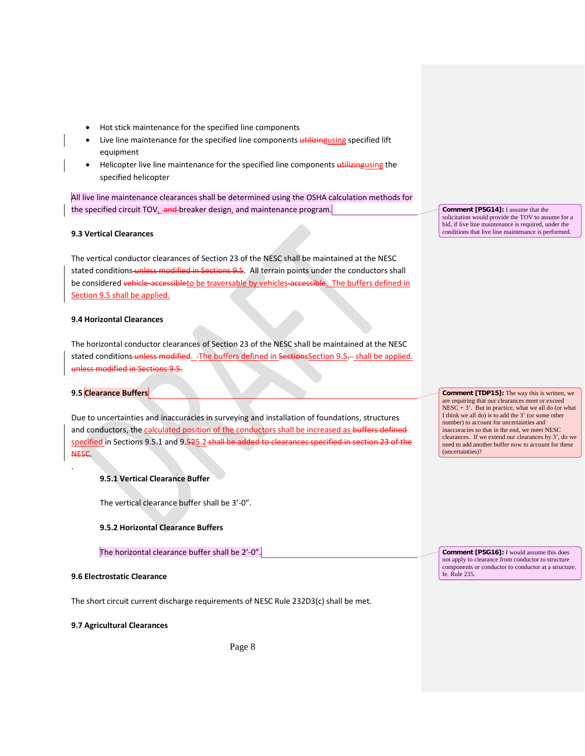- Hot stick maintenance for the specified line components
- Live line maintenance for the specified line components utilizingusing specified lift equipment
- Helicopter live line maintenance for the specified line components utilizing using the specified helicopter

All live line maintenance clearances shall be determined using the OSHA calculation methods for the specified circuit  $TOV<sub>L</sub>$ -and-breaker design, and maintenance program.

# **9.3 Vertical Clearances**

The vertical conductor clearances of Section 23 of the NESC shall be maintained at the NESC stated conditions unless modified in Sections 9.5. All terrain points under the conductors shall be considered vehicle-accessibleto be traversable by vehicles-accessible. The buffers defined in Section 9.5 shall be applied.

# **9.4 Horizontal Clearances**

The horizontal conductor clearances of Section 23 of the NESC shall be maintained at the NESC stated conditions unless modified. The buffers defined in Sections Section 9.5- shall be applied. unless modified in Sections 9.5.

# **9.5 Clearance Buffers**

.

Due to uncertainties and inaccuracies in surveying and installation of foundations, structures and conductors, the calculated position of the conductors shall be increased as buffers defined specified in Sections 9.5.1 and 9.525.2 shall be added to clearances specified in section 23 of the NESC.

# **9.5.1 Vertical Clearance Buffer**

The vertical clearance buffer shall be 3'-0".

# **9.5.2 Horizontal Clearance Buffers**

The horizontal clearance buffer shall be 2'-0".

# **9.6 Electrostatic Clearance**

The short circuit current discharge requirements of NESC Rule 232D3(c) shall be met.

## **9.7 Agricultural Clearances**

**Comment [PSG14]:** I assume that the solicitation would provide the TOV to assume for a bid, if live line maintenance is required, under the conditions that live line maintenance is performed.

**Comment [TDP15]:** The way this is written, we are requiring that our clearances meet or exceed  $NESC + 3'$ . But in practice, what we all do (or what I think we all do) is to add the 3' (or some other number) to account for uncertainties and inaccuracies so that in the end, we meet NESC clearances. If we extend our clearances by 3', do we need to add another buffer now to account for these (uncertainties)?

**Comment [PSG16]:** I would assume this does not apply to clearance from conductor to structure components or conductor to conductor at a structure. Ie. Rule 235.

Page 8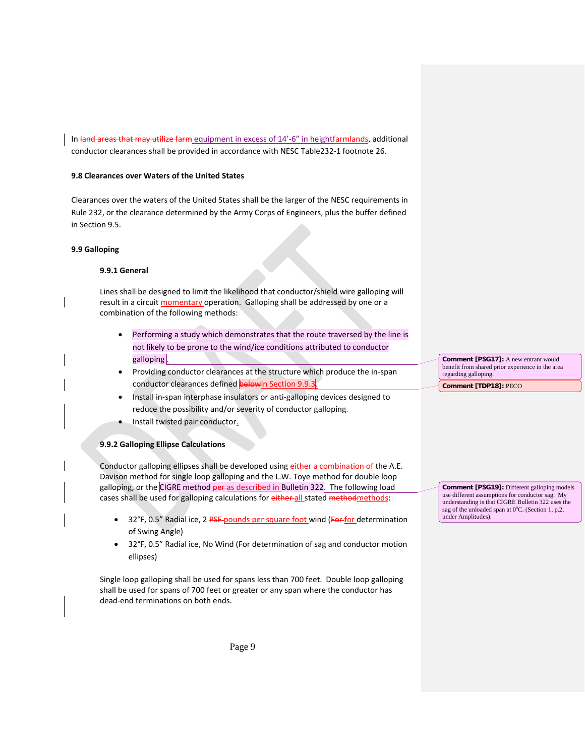In land areas that may utilize farm equipment in excess of 14'-6" in heightfarmlands, additional conductor clearances shall be provided in accordance with NESC Table232-1 footnote 26.

## **9.8 Clearances over Waters of the United States**

Clearances over the waters of the United States shall be the larger of the NESC requirements in Rule 232, or the clearance determined by the Army Corps of Engineers, plus the buffer defined in Section 9.5.

# **9.9 Galloping**

# **9.9.1 General**

Lines shall be designed to limit the likelihood that conductor/shield wire galloping will result in a circuit momentary operation. Galloping shall be addressed by one or a combination of the following methods:

- Performing a study which demonstrates that the route traversed by the line is not likely to be prone to the wind/ice conditions attributed to conductor galloping .
- Providing conductor clearances at the structure which produce the in-span conductor clearances defined **belowin Section 9.9.3**
- Install in-span interphase insulators or anti-galloping devices designed to reduce the possibility and/or severity of conductor galloping.
- Install twisted pair conductor.

# **9.9.2 Galloping Ellipse Calculations**

Conductor galloping ellipses shall be developed using either a combination of the A.E. Davison method for single loop galloping and the L.W. Toye method for double loop galloping, or the CIGRE method per as described in Bulletin 322. The following load cases shall be used for galloping calculations for either all stated methodmethods:

- 32°F, 0.5" Radial ice, 2 PSF-pounds per square foot wind (For-for determination of Swing Angle)
- 32°F, 0.5" Radial ice, No Wind (For determination of sag and conductor motion ellipses)

Single loop galloping shall be used for spans less than 700 feet. Double loop galloping shall be used for spans of 700 feet or greater or any span where the conductor has dead-end terminations on both ends.

**Comment [PSG17]:** A new entrant would benefit from shared prior experience in the area regarding galloping. **Comment [TDP18]:** PECO

**Comment [PSG19]:** Different galloping models use different assumptions for conductor sag. My understanding is that CIGRE Bulletin 322 uses the sag of the unloaded span at 0°C. (Section 1, p.2, under Amplitudes).